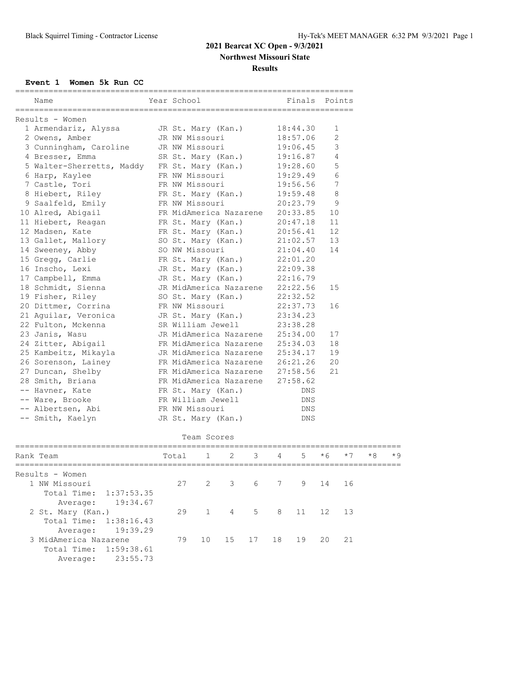## **2021 Bearcat XC Open - 9/3/2021**

**Northwest Missouri State**

**Results**

**Event 1 Women 5k Run CC**

| Name                                 | Year School                                                        |                       |                |     |                 | Finals   |     | Points |      |      |
|--------------------------------------|--------------------------------------------------------------------|-----------------------|----------------|-----|-----------------|----------|-----|--------|------|------|
| Results - Women                      |                                                                    |                       |                |     |                 |          |     |        |      |      |
| 1 Armendariz, Alyssa                 |                                                                    | JR St. Mary (Kan.)    |                |     |                 | 18:44.30 |     | 1      |      |      |
| 2 Owens, Amber                       |                                                                    | JR NW Missouri        |                |     |                 | 18:57.06 |     | 2      |      |      |
| 3 Cunningham, Caroline               |                                                                    | JR NW Missouri        |                |     |                 | 19:06.45 |     | 3      |      |      |
| 4 Bresser, Emma                      |                                                                    | SR St. Mary (Kan.)    |                |     |                 | 19:16.87 |     | 4      |      |      |
| 5 Walter-Sherretts, Maddy            |                                                                    | FR St. Mary (Kan.)    |                |     |                 | 19:28.60 |     | 5      |      |      |
| 6 Harp, Kaylee                       |                                                                    | FR NW Missouri        |                |     |                 | 19:29.49 |     | 6      |      |      |
| 7 Castle, Tori                       |                                                                    | FR NW Missouri        |                |     |                 | 19:56.56 |     | 7      |      |      |
| 8 Hiebert, Riley                     |                                                                    |                       |                |     |                 | 19:59.48 |     | 8      |      |      |
| 9 Saalfeld, Emily                    | FR St. Mary (Kan.)<br>FR NW Missouri                               |                       |                |     |                 | 20:23.79 |     | 9      |      |      |
| 10 Alred, Abigail                    |                                                                    |                       |                |     |                 |          |     | 10     |      |      |
| 11 Hiebert, Reagan                   | FR MidAmerica Nazarene 20:33.85<br>FR St. Mary (Kan.)              |                       |                |     |                 | 20:47.18 |     | 11     |      |      |
| 12 Madsen, Kate                      |                                                                    | FR St. Mary (Kan.)    |                |     |                 | 20:56.41 |     | 12     |      |      |
| 13 Gallet, Mallory                   |                                                                    | SO St. Mary (Kan.)    |                |     |                 | 21:02.57 |     | 13     |      |      |
| 14 Sweeney, Abby                     |                                                                    | SO NW Missouri        |                |     |                 | 21:04.40 |     | 14     |      |      |
| 15 Gregg, Carlie                     |                                                                    |                       |                |     |                 | 22:01.20 |     |        |      |      |
| 16 Inscho, Lexi                      | FR St. Mary (Kan.)                                                 |                       |                |     |                 | 22:09.38 |     |        |      |      |
| 17 Campbell, Emma                    | JR St. Mary (Kan.)<br>JR St. Mary (Kan.)                           |                       |                |     |                 | 22:16.79 |     |        |      |      |
| 18 Schmidt, Sienna                   | JR MidAmerica Nazarene                                             |                       |                |     |                 | 22:22.56 |     | 15     |      |      |
| 19 Fisher, Riley                     | SO St. Mary (Kan.)                                                 |                       |                |     |                 | 22:32.52 |     |        |      |      |
| 20 Dittmer, Corrina                  | FR NW Missouri                                                     |                       |                |     |                 | 22:37.73 |     | 16     |      |      |
| 21 Aguilar, Veronica                 | JR St. Mary (Kan.)                                                 |                       |                |     |                 | 23:34.23 |     |        |      |      |
| 22 Fulton, Mckenna                   | SR William Jewell                                                  |                       |                |     |                 | 23:38.28 |     |        |      |      |
| 23 Janis, Wasu                       | JR MidAmerica Nazarene                                             |                       |                |     |                 | 25:34.00 | 17  |        |      |      |
| 24 Zitter, Abigail                   | FR MidAmerica Nazarene 25:34.03                                    |                       |                |     |                 |          |     |        |      |      |
| 25 Kambeitz, Mikayla                 | JR MidAmerica Nazarene 25:34.17                                    |                       |                |     |                 |          |     |        |      |      |
| 26 Sorenson, Lainey                  | FR MidAmerica Nazarene 26:21.26                                    |                       |                |     |                 | 19<br>20 |     |        |      |      |
| 27 Duncan, Shelby                    |                                                                    |                       |                |     | 21              |          |     |        |      |      |
| 28 Smith, Briana                     | FR MidAmerica Nazarene 27:58.56<br>FR MidAmerica Nazarene 27:58.62 |                       |                |     |                 |          |     |        |      |      |
| -- Havner, Kate                      |                                                                    |                       |                |     | DNS             |          |     |        |      |      |
|                                      | FR St. Mary (Kan.)                                                 |                       |                |     | DNS             |          |     |        |      |      |
| -- Ware, Brooke<br>-- Albertsen, Abi | FR William Jewell                                                  |                       |                | DNS |                 |          |     |        |      |      |
|                                      | FR NW Missouri<br>JR St. Mary (Kan.)                               |                       |                |     |                 | DNS      |     |        |      |      |
| -- Smith, Kaelyn                     |                                                                    |                       |                |     |                 |          |     |        |      |      |
|                                      |                                                                    | Team Scores           |                |     |                 |          |     |        |      |      |
| Rank Team                            | Total                                                              | 1                     | 2              | 3   | 4               | 5        | * 6 | $*7$   | $*8$ | $*9$ |
|                                      |                                                                    |                       |                |     |                 |          |     |        |      |      |
| Results - Women                      |                                                                    |                       |                |     |                 |          |     |        |      |      |
| 1 NW Missouri                        | 27                                                                 | $\mathbf{2}^{\prime}$ | 3              | 6   | $7\overline{ }$ | 9        | 14  | 16     |      |      |
| Total Time:<br>1:37:53.35            |                                                                    |                       |                |     |                 |          |     |        |      |      |
| Average:<br>19:34.67                 |                                                                    |                       |                |     |                 |          |     |        |      |      |
| 2 St. Mary (Kan.)                    | 29                                                                 | $\mathbf{1}$          | $\overline{4}$ | 5   | 8               | 11       | 12  | 13     |      |      |
| Total Time:<br>1:38:16.43            |                                                                    |                       |                |     |                 |          |     |        |      |      |
| 19:39.29<br>Average:                 |                                                                    |                       |                |     |                 |          |     |        |      |      |
| 3 MidAmerica Nazarene                | 79                                                                 | 10                    | 15             | 17  | 18              | 19       | 20  | 21     |      |      |
| Total Time:<br>1:59:38.61            |                                                                    |                       |                |     |                 |          |     |        |      |      |
| 23:55.73<br>Average:                 |                                                                    |                       |                |     |                 |          |     |        |      |      |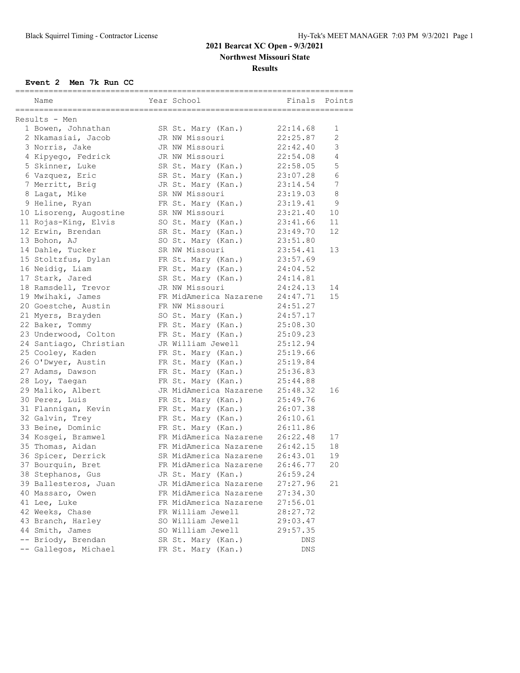# **2021 Bearcat XC Open - 9/3/2021**

**Northwest Missouri State**

#### **Results**

### **Event 2 Men 7k Run CC**

| Name                   | Year School            | ---------------------<br>Finals | Points         |
|------------------------|------------------------|---------------------------------|----------------|
| Results - Men          |                        |                                 |                |
| 1 Bowen, Johnathan     | SR St. Mary (Kan.)     | 22:14.68                        | 1              |
| 2 Nkamasiai, Jacob     | JR NW Missouri         | 22:25.87                        | $\overline{2}$ |
| 3 Norris, Jake         | JR NW Missouri         | 22:42.40                        | 3              |
| 4 Kipyego, Fedrick     | JR NW Missouri         | 22:54.08                        | $\overline{4}$ |
| 5 Skinner, Luke        | SR St. Mary (Kan.)     | 22:58.05                        | 5              |
| 6 Vazquez, Eric        | SR St. Mary (Kan.)     | 23:07.28                        | 6              |
| 7 Merritt, Brig        | JR St. Mary (Kan.)     | 23:14.54                        | 7              |
| 8 Lagat, Mike          | SR NW Missouri         | 23:19.03                        | 8              |
| 9 Heline, Ryan         | FR St. Mary (Kan.)     | 23:19.41                        | 9              |
| 10 Lisoreng, Augostine | SR NW Missouri         | 23:21.40                        | 10             |
| 11 Rojas-King, Elvis   | SO St. Mary (Kan.)     | 23:41.66                        | 11             |
| 12 Erwin, Brendan      | SR St. Mary (Kan.)     | 23:49.70                        | 12             |
| 13 Bohon, AJ           | SO St. Mary (Kan.)     | 23:51.80                        |                |
| 14 Dahle, Tucker       | SR NW Missouri         | 23:54.41                        | 13             |
| 15 Stoltzfus, Dylan    | FR St. Mary (Kan.)     | 23:57.69                        |                |
| 16 Neidig, Liam        | FR St. Mary (Kan.)     | 24:04.52                        |                |
| 17 Stark, Jared        | SR St. Mary (Kan.)     | 24:14.81                        |                |
| 18 Ramsdell, Trevor    | JR NW Missouri         | 24:24.13                        | 14             |
| 19 Mwihaki, James      | FR MidAmerica Nazarene | 24:47.71                        | 15             |
| 20 Goestche, Austin    | FR NW Missouri         | 24:51.27                        |                |
| 21 Myers, Brayden      | SO St. Mary (Kan.)     | 24:57.17                        |                |
| 22 Baker, Tommy        | FR St. Mary (Kan.)     | 25:08.30                        |                |
| 23 Underwood, Colton   | FR St. Mary (Kan.)     | 25:09.23                        |                |
| 24 Santiago, Christian | JR William Jewell      | 25:12.94                        |                |
| 25 Cooley, Kaden       | FR St. Mary (Kan.)     | 25:19.66                        |                |
| 26 O'Dwyer, Austin     | FR St. Mary (Kan.)     | 25:19.84                        |                |
| 27 Adams, Dawson       | FR St. Mary (Kan.)     | 25:36.83                        |                |
| 28 Loy, Taegan         | FR St. Mary (Kan.)     | 25:44.88                        |                |
| 29 Maliko, Albert      | JR MidAmerica Nazarene | 25:48.32                        | 16             |
| 30 Perez, Luis         | FR St. Mary (Kan.)     | 25:49.76                        |                |
| 31 Flannigan, Kevin    | FR St. Mary (Kan.)     | 26:07.38                        |                |
| 32 Galvin, Trey        | FR St. Mary (Kan.)     | 26:10.61                        |                |
| 33 Beine, Dominic      | FR St. Mary (Kan.)     | 26:11.86                        |                |
| 34 Kosgei, Bramwel     | FR MidAmerica Nazarene | 26:22.48                        | 17             |
| 35 Thomas, Aidan       | FR MidAmerica Nazarene | 26:42.15                        | 18             |
| 36 Spicer, Derrick     | SR MidAmerica Nazarene | 26:43.01                        | 19             |
| 37 Bourquin, Bret      | FR MidAmerica Nazarene | 26:46.77                        | 20             |
| 38 Stephanos, Gus      | JR St. Mary (Kan.)     | 26:59.24                        |                |
| 39 Ballesteros, Juan   | JR MidAmerica Nazarene | 27:27.96                        | 21             |
| 40 Massaro, Owen       | FR MidAmerica Nazarene | 27:34.30                        |                |
| 41 Lee, Luke           | FR MidAmerica Nazarene | 27:56.01                        |                |
| 42 Weeks, Chase        | FR William Jewell      | 28:27.72                        |                |
| 43 Branch, Harley      | SO William Jewell      | 29:03.47                        |                |
| 44 Smith, James        | SO William Jewell      | 29:57.35                        |                |
| -- Briody, Brendan     | SR St. Mary (Kan.)     | DNS                             |                |
| -- Gallegos, Michael   | FR St. Mary (Kan.)     | DNS                             |                |